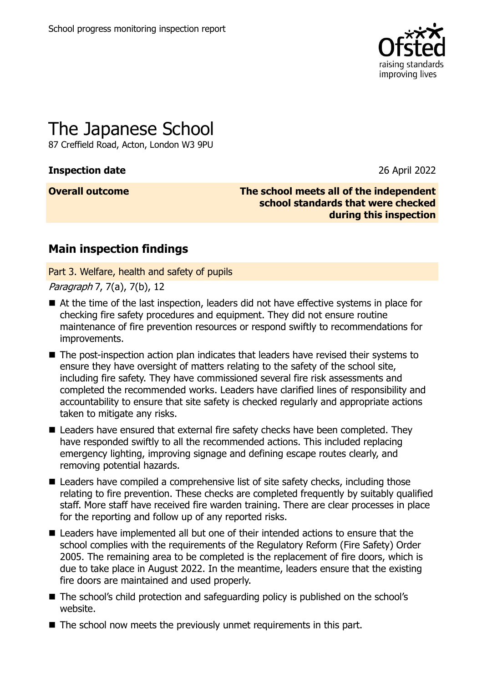

# The Japanese School

87 Creffield Road, Acton, London W3 9PU

### **Inspection date** 26 April 2022

**Overall outcome The school meets all of the independent school standards that were checked during this inspection**

## **Main inspection findings**

Part 3. Welfare, health and safety of pupils

Paragraph 7, 7(a), 7(b), 12

- At the time of the last inspection, leaders did not have effective systems in place for checking fire safety procedures and equipment. They did not ensure routine maintenance of fire prevention resources or respond swiftly to recommendations for improvements.
- The post-inspection action plan indicates that leaders have revised their systems to ensure they have oversight of matters relating to the safety of the school site, including fire safety. They have commissioned several fire risk assessments and completed the recommended works. Leaders have clarified lines of responsibility and accountability to ensure that site safety is checked regularly and appropriate actions taken to mitigate any risks.
- Leaders have ensured that external fire safety checks have been completed. They have responded swiftly to all the recommended actions. This included replacing emergency lighting, improving signage and defining escape routes clearly, and removing potential hazards.
- Leaders have compiled a comprehensive list of site safety checks, including those relating to fire prevention. These checks are completed frequently by suitably qualified staff. More staff have received fire warden training. There are clear processes in place for the reporting and follow up of any reported risks.
- Leaders have implemented all but one of their intended actions to ensure that the school complies with the requirements of the Regulatory Reform (Fire Safety) Order 2005. The remaining area to be completed is the replacement of fire doors, which is due to take place in August 2022. In the meantime, leaders ensure that the existing fire doors are maintained and used properly.
- The school's child protection and safeguarding policy is published on the school's website.
- The school now meets the previously unmet requirements in this part.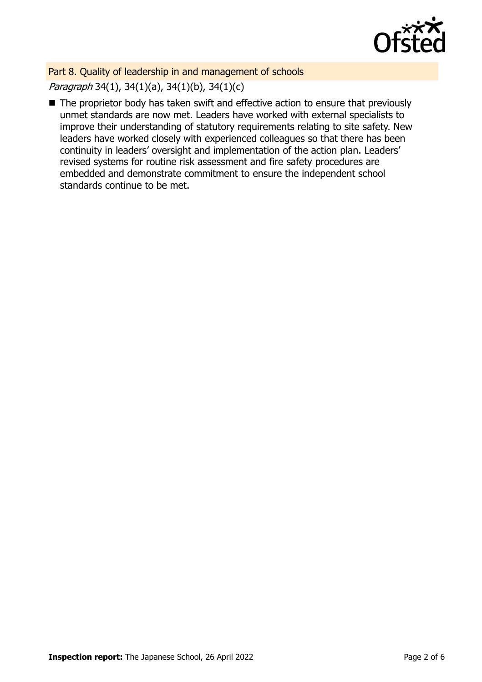

Part 8. Quality of leadership in and management of schools Paragraph 34(1), 34(1)(a), 34(1)(b), 34(1)(c)

■ The proprietor body has taken swift and effective action to ensure that previously unmet standards are now met. Leaders have worked with external specialists to improve their understanding of statutory requirements relating to site safety. New leaders have worked closely with experienced colleagues so that there has been continuity in leaders' oversight and implementation of the action plan. Leaders' revised systems for routine risk assessment and fire safety procedures are embedded and demonstrate commitment to ensure the independent school standards continue to be met.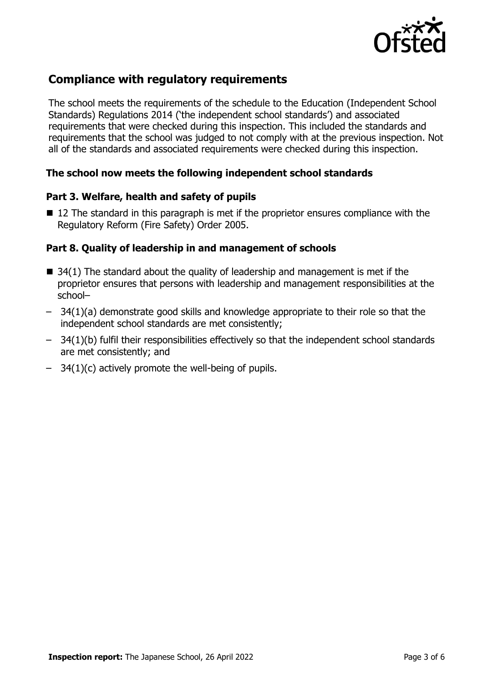

## **Compliance with regulatory requirements**

The school meets the requirements of the schedule to the Education (Independent School Standards) Regulations 2014 ('the independent school standards') and associated requirements that were checked during this inspection. This included the standards and requirements that the school was judged to not comply with at the previous inspection. Not all of the standards and associated requirements were checked during this inspection.

#### **The school now meets the following independent school standards**

#### **Part 3. Welfare, health and safety of pupils**

■ 12 The standard in this paragraph is met if the proprietor ensures compliance with the Regulatory Reform (Fire Safety) Order 2005.

#### **Part 8. Quality of leadership in and management of schools**

- $\blacksquare$  34(1) The standard about the quality of leadership and management is met if the proprietor ensures that persons with leadership and management responsibilities at the school–
- 34(1)(a) demonstrate good skills and knowledge appropriate to their role so that the independent school standards are met consistently;
- 34(1)(b) fulfil their responsibilities effectively so that the independent school standards are met consistently; and
- 34(1)(c) actively promote the well-being of pupils.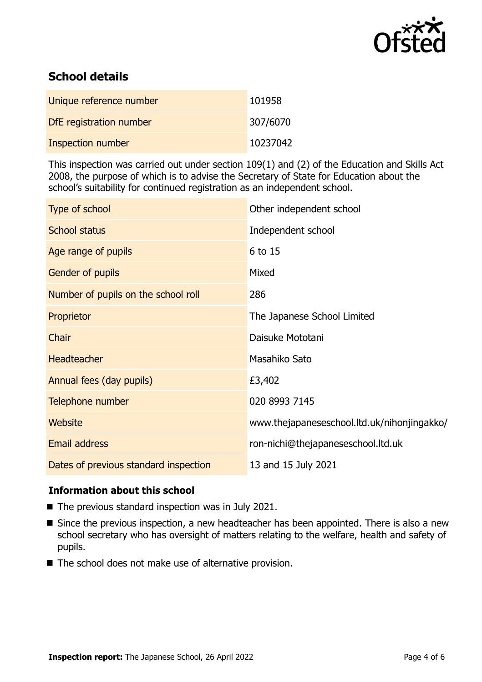

## **School details**

| Unique reference number  | 101958   |
|--------------------------|----------|
| DfE registration number  | 307/6070 |
| <b>Inspection number</b> | 10237042 |

This inspection was carried out under section 109(1) and (2) of the Education and Skills Act 2008, the purpose of which is to advise the Secretary of State for Education about the school's suitability for continued registration as an independent school.

| Type of school                        | Other independent school                    |
|---------------------------------------|---------------------------------------------|
| <b>School status</b>                  | Independent school                          |
| Age range of pupils                   | 6 to 15                                     |
| Gender of pupils                      | Mixed                                       |
| Number of pupils on the school roll   | 286                                         |
| Proprietor                            | The Japanese School Limited                 |
| Chair                                 | Daisuke Mototani                            |
| <b>Headteacher</b>                    | Masahiko Sato                               |
| Annual fees (day pupils)              | £3,402                                      |
| Telephone number                      | 020 8993 7145                               |
| <b>Website</b>                        | www.thejapaneseschool.ltd.uk/nihonjingakko/ |
| <b>Email address</b>                  | ron-nichi@thejapaneseschool.ltd.uk          |
| Dates of previous standard inspection | 13 and 15 July 2021                         |

#### **Information about this school**

- The previous standard inspection was in July 2021.
- Since the previous inspection, a new headteacher has been appointed. There is also a new school secretary who has oversight of matters relating to the welfare, health and safety of pupils.
- The school does not make use of alternative provision.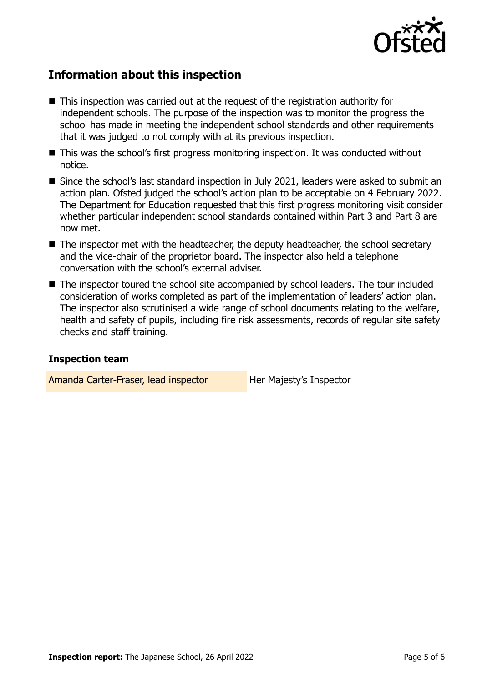

## **Information about this inspection**

- This inspection was carried out at the request of the registration authority for independent schools. The purpose of the inspection was to monitor the progress the school has made in meeting the independent school standards and other requirements that it was judged to not comply with at its previous inspection.
- This was the school's first progress monitoring inspection. It was conducted without notice.
- Since the school's last standard inspection in July 2021, leaders were asked to submit an action plan. Ofsted judged the school's action plan to be acceptable on 4 February 2022. The Department for Education requested that this first progress monitoring visit consider whether particular independent school standards contained within Part 3 and Part 8 are now met.
- $\blacksquare$  The inspector met with the headteacher, the deputy headteacher, the school secretary and the vice-chair of the proprietor board. The inspector also held a telephone conversation with the school's external adviser.
- The inspector toured the school site accompanied by school leaders. The tour included consideration of works completed as part of the implementation of leaders' action plan. The inspector also scrutinised a wide range of school documents relating to the welfare, health and safety of pupils, including fire risk assessments, records of regular site safety checks and staff training.

#### **Inspection team**

Amanda Carter-Fraser, lead inspector Her Majesty's Inspector